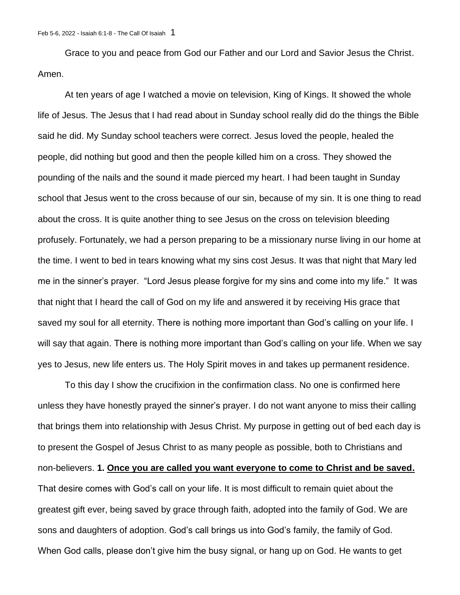Grace to you and peace from God our Father and our Lord and Savior Jesus the Christ. Amen.

At ten years of age I watched a movie on television, King of Kings. It showed the whole life of Jesus. The Jesus that I had read about in Sunday school really did do the things the Bible said he did. My Sunday school teachers were correct. Jesus loved the people, healed the people, did nothing but good and then the people killed him on a cross. They showed the pounding of the nails and the sound it made pierced my heart. I had been taught in Sunday school that Jesus went to the cross because of our sin, because of my sin. It is one thing to read about the cross. It is quite another thing to see Jesus on the cross on television bleeding profusely. Fortunately, we had a person preparing to be a missionary nurse living in our home at the time. I went to bed in tears knowing what my sins cost Jesus. It was that night that Mary led me in the sinner's prayer. "Lord Jesus please forgive for my sins and come into my life." It was that night that I heard the call of God on my life and answered it by receiving His grace that saved my soul for all eternity. There is nothing more important than God's calling on your life. I will say that again. There is nothing more important than God's calling on your life. When we say yes to Jesus, new life enters us. The Holy Spirit moves in and takes up permanent residence.

To this day I show the crucifixion in the confirmation class. No one is confirmed here unless they have honestly prayed the sinner's prayer. I do not want anyone to miss their calling that brings them into relationship with Jesus Christ. My purpose in getting out of bed each day is to present the Gospel of Jesus Christ to as many people as possible, both to Christians and non-believers. **1. Once you are called you want everyone to come to Christ and be saved.**  That desire comes with God's call on your life. It is most difficult to remain quiet about the greatest gift ever, being saved by grace through faith, adopted into the family of God. We are sons and daughters of adoption. God's call brings us into God's family, the family of God. When God calls, please don't give him the busy signal, or hang up on God. He wants to get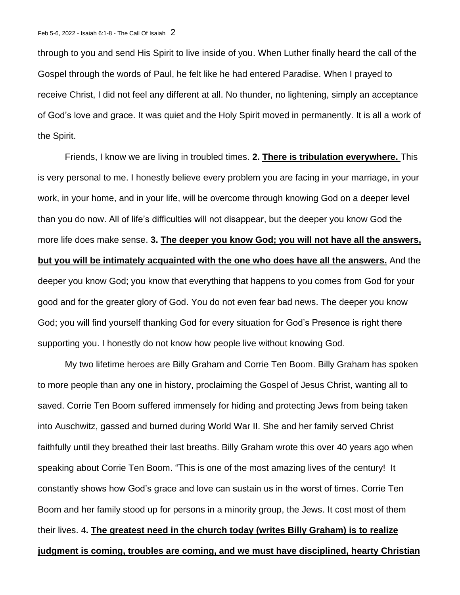through to you and send His Spirit to live inside of you. When Luther finally heard the call of the Gospel through the words of Paul, he felt like he had entered Paradise. When I prayed to receive Christ, I did not feel any different at all. No thunder, no lightening, simply an acceptance of God's love and grace. It was quiet and the Holy Spirit moved in permanently. It is all a work of the Spirit.

Friends, I know we are living in troubled times. **2. There is tribulation everywhere.** This is very personal to me. I honestly believe every problem you are facing in your marriage, in your work, in your home, and in your life, will be overcome through knowing God on a deeper level than you do now. All of life's difficulties will not disappear, but the deeper you know God the more life does make sense. **3. The deeper you know God; you will not have all the answers, but you will be intimately acquainted with the one who does have all the answers.** And the deeper you know God; you know that everything that happens to you comes from God for your good and for the greater glory of God. You do not even fear bad news. The deeper you know God; you will find yourself thanking God for every situation for God's Presence is right there supporting you. I honestly do not know how people live without knowing God.

My two lifetime heroes are Billy Graham and Corrie Ten Boom. Billy Graham has spoken to more people than any one in history, proclaiming the Gospel of Jesus Christ, wanting all to saved. Corrie Ten Boom suffered immensely for hiding and protecting Jews from being taken into Auschwitz, gassed and burned during World War II. She and her family served Christ faithfully until they breathed their last breaths. Billy Graham wrote this over 40 years ago when speaking about Corrie Ten Boom. "This is one of the most amazing lives of the century! It constantly shows how God's grace and love can sustain us in the worst of times. Corrie Ten Boom and her family stood up for persons in a minority group, the Jews. It cost most of them their lives. 4**. The greatest need in the church today (writes Billy Graham) is to realize judgment is coming, troubles are coming, and we must have disciplined, hearty Christian**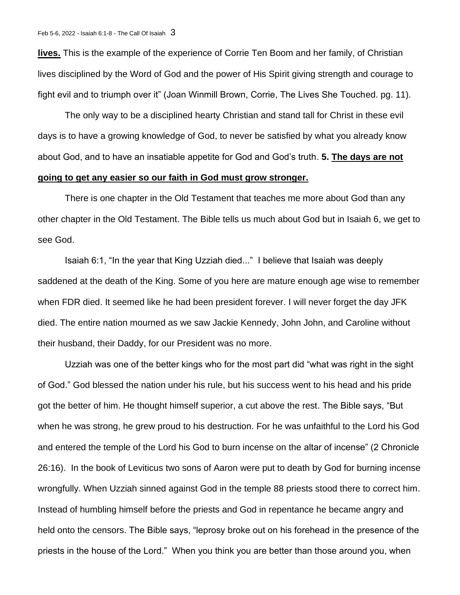**lives.** This is the example of the experience of Corrie Ten Boom and her family, of Christian lives disciplined by the Word of God and the power of His Spirit giving strength and courage to fight evil and to triumph over it" (Joan Winmill Brown, Corrie, The Lives She Touched. pg. 11).

The only way to be a disciplined hearty Christian and stand tall for Christ in these evil days is to have a growing knowledge of God, to never be satisfied by what you already know about God, and to have an insatiable appetite for God and God's truth. **5. The days are not going to get any easier so our faith in God must grow stronger.** 

There is one chapter in the Old Testament that teaches me more about God than any other chapter in the Old Testament. The Bible tells us much about God but in Isaiah 6, we get to see God.

Isaiah 6:1, "In the year that King Uzziah died..." I believe that Isaiah was deeply saddened at the death of the King. Some of you here are mature enough age wise to remember when FDR died. It seemed like he had been president forever. I will never forget the day JFK died. The entire nation mourned as we saw Jackie Kennedy, John John, and Caroline without their husband, their Daddy, for our President was no more.

Uzziah was one of the better kings who for the most part did "what was right in the sight of God." God blessed the nation under his rule, but his success went to his head and his pride got the better of him. He thought himself superior, a cut above the rest. The Bible says, "But when he was strong, he grew proud to his destruction. For he was unfaithful to the Lord his God and entered the temple of the Lord his God to burn incense on the altar of incense" (2 Chronicle 26:16). In the book of Leviticus two sons of Aaron were put to death by God for burning incense wrongfully. When Uzziah sinned against God in the temple 88 priests stood there to correct him. Instead of humbling himself before the priests and God in repentance he became angry and held onto the censors. The Bible says, "leprosy broke out on his forehead in the presence of the priests in the house of the Lord." When you think you are better than those around you, when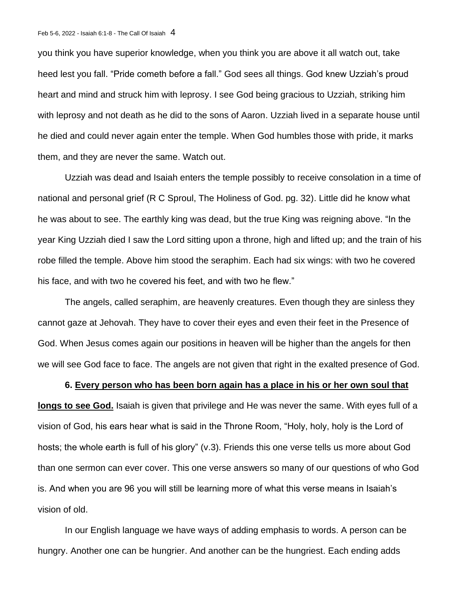you think you have superior knowledge, when you think you are above it all watch out, take heed lest you fall. "Pride cometh before a fall." God sees all things. God knew Uzziah's proud heart and mind and struck him with leprosy. I see God being gracious to Uzziah, striking him with leprosy and not death as he did to the sons of Aaron. Uzziah lived in a separate house until he died and could never again enter the temple. When God humbles those with pride, it marks them, and they are never the same. Watch out.

Uzziah was dead and Isaiah enters the temple possibly to receive consolation in a time of national and personal grief (R C Sproul, The Holiness of God. pg. 32). Little did he know what he was about to see. The earthly king was dead, but the true King was reigning above. "In the year King Uzziah died I saw the Lord sitting upon a throne, high and lifted up; and the train of his robe filled the temple. Above him stood the seraphim. Each had six wings: with two he covered his face, and with two he covered his feet, and with two he flew."

The angels, called seraphim, are heavenly creatures. Even though they are sinless they cannot gaze at Jehovah. They have to cover their eyes and even their feet in the Presence of God. When Jesus comes again our positions in heaven will be higher than the angels for then we will see God face to face. The angels are not given that right in the exalted presence of God.

## **6. Every person who has been born again has a place in his or her own soul that**

**longs to see God.** Isaiah is given that privilege and He was never the same. With eyes full of a vision of God, his ears hear what is said in the Throne Room, "Holy, holy, holy is the Lord of hosts; the whole earth is full of his glory" (v.3). Friends this one verse tells us more about God than one sermon can ever cover. This one verse answers so many of our questions of who God is. And when you are 96 you will still be learning more of what this verse means in Isaiah's vision of old.

In our English language we have ways of adding emphasis to words. A person can be hungry. Another one can be hungrier. And another can be the hungriest. Each ending adds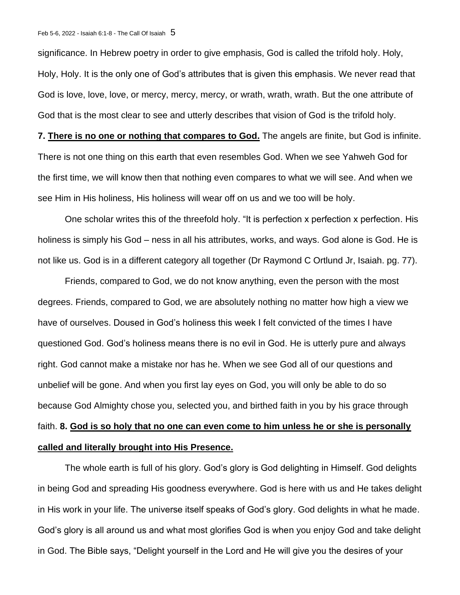significance. In Hebrew poetry in order to give emphasis, God is called the trifold holy. Holy, Holy, Holy. It is the only one of God's attributes that is given this emphasis. We never read that God is love, love, love, or mercy, mercy, mercy, or wrath, wrath, wrath. But the one attribute of God that is the most clear to see and utterly describes that vision of God is the trifold holy.

**7. There is no one or nothing that compares to God.** The angels are finite, but God is infinite. There is not one thing on this earth that even resembles God. When we see Yahweh God for the first time, we will know then that nothing even compares to what we will see. And when we see Him in His holiness, His holiness will wear off on us and we too will be holy.

One scholar writes this of the threefold holy. "It is perfection x perfection x perfection. His holiness is simply his God – ness in all his attributes, works, and ways. God alone is God. He is not like us. God is in a different category all together (Dr Raymond C Ortlund Jr, Isaiah. pg. 77).

Friends, compared to God, we do not know anything, even the person with the most degrees. Friends, compared to God, we are absolutely nothing no matter how high a view we have of ourselves. Doused in God's holiness this week I felt convicted of the times I have questioned God. God's holiness means there is no evil in God. He is utterly pure and always right. God cannot make a mistake nor has he. When we see God all of our questions and unbelief will be gone. And when you first lay eyes on God, you will only be able to do so because God Almighty chose you, selected you, and birthed faith in you by his grace through faith. **8. God is so holy that no one can even come to him unless he or she is personally called and literally brought into His Presence.** 

The whole earth is full of his glory. God's glory is God delighting in Himself. God delights in being God and spreading His goodness everywhere. God is here with us and He takes delight in His work in your life. The universe itself speaks of God's glory. God delights in what he made. God's glory is all around us and what most glorifies God is when you enjoy God and take delight in God. The Bible says, "Delight yourself in the Lord and He will give you the desires of your